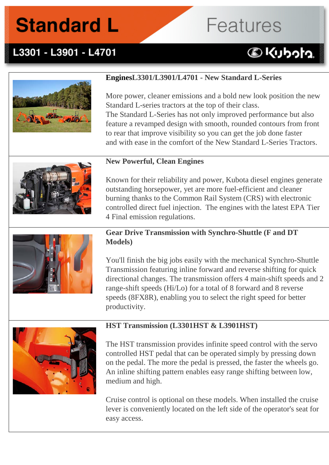# **Features**

# L3301 - L3901 - L4701



# **EnginesL3301/L3901/L4701 - New Standard L-Series**

More power, cleaner emissions and a bold new look position the new Standard L-series tractors at the top of their class.

The Standard L-Series has not only improved performance but also feature a revamped design with smooth, rounded contours from front to rear that improve visibility so you can get the job done faster and with ease in the comfort of the New Standard L-Series Tractors.



#### **New Powerful, Clean Engines**

Known for their reliability and power, Kubota diesel engines generate outstanding horsepower, yet are more fuel-efficient and cleaner burning thanks to the Common Rail System (CRS) with electronic controlled direct fuel injection. The engines with the latest EPA Tier 4 Final emission regulations.



### **Gear Drive Transmission with Synchro-Shuttle (F and DT Models)**

You'll finish the big jobs easily with the mechanical Synchro-Shuttle Transmission featuring inline forward and reverse shifting for quick directional changes. The transmission offers 4 main-shift speeds and 2 range-shift speeds (Hi/Lo) for a total of 8 forward and 8 reverse speeds (8FX8R), enabling you to select the right speed for better productivity.



### **HST Transmission (L3301HST & L3901HST)**

The HST transmission provides infinite speed control with the servo controlled HST pedal that can be operated simply by pressing down on the pedal. The more the pedal is pressed, the faster the wheels go. An inline shifting pattern enables easy range shifting between low, medium and high.

Cruise control is optional on these models. When installed the cruise lever is conveniently located on the left side of the operator's seat for easy access.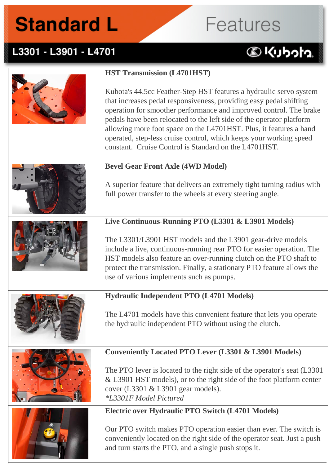# **Features**

# L3301 - L3901 - L4701

# **DKUbota**







# **Conveniently Located PTO Lever (L3301 & L3901 Models)**

The PTO lever is located to the right side of the operator's seat (L3301 & L3901 HST models), or to the right side of the foot platform center cover (L3301 & L3901 gear models).

*\*L3301F Model Pictured*

### **Electric over Hydraulic PTO Switch (L4701 Models)**

Our PTO switch makes PTO operation easier than ever. The switch is conveniently located on the right side of the operator seat. Just a push and turn starts the PTO, and a single push stops it.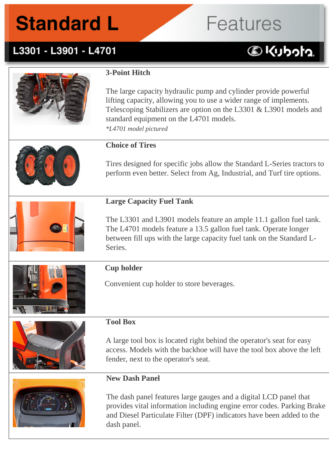# **Features**

# L3301 - L3901 - L4701

# **BKUbota**



# **3-Point Hitch**

The large capacity hydraulic pump and cylinder provide powerful lifting capacity, allowing you to use a wider range of implements. Telescoping Stabilizers are option on the L3301 & L3901 models and standard equipment on the L4701 models. *\*L4701 model pictured*



### **Choice of Tires**

Tires designed for specific jobs allow the Standard L-Series tractors to perform even better. Select from Ag, Industrial, and Turf tire options.



### **Large Capacity Fuel Tank**

The L3301 and L3901 models feature an ample 11.1 gallon fuel tank. The L4701 models feature a 13.5 gallon fuel tank. Operate longer between fill ups with the large capacity fuel tank on the Standard L-Series.



### **Cup holder**

Convenient cup holder to store beverages.



### **Tool Box**

A large tool box is located right behind the operator's seat for easy access. Models with the backhoe will have the tool box above the left fender, next to the operator's seat.

### **New Dash Panel**

The dash panel features large gauges and a digital LCD panel that provides vital information including engine error codes. Parking Brake and Diesel Particulate Filter (DPF) indicators have been added to the dash panel.